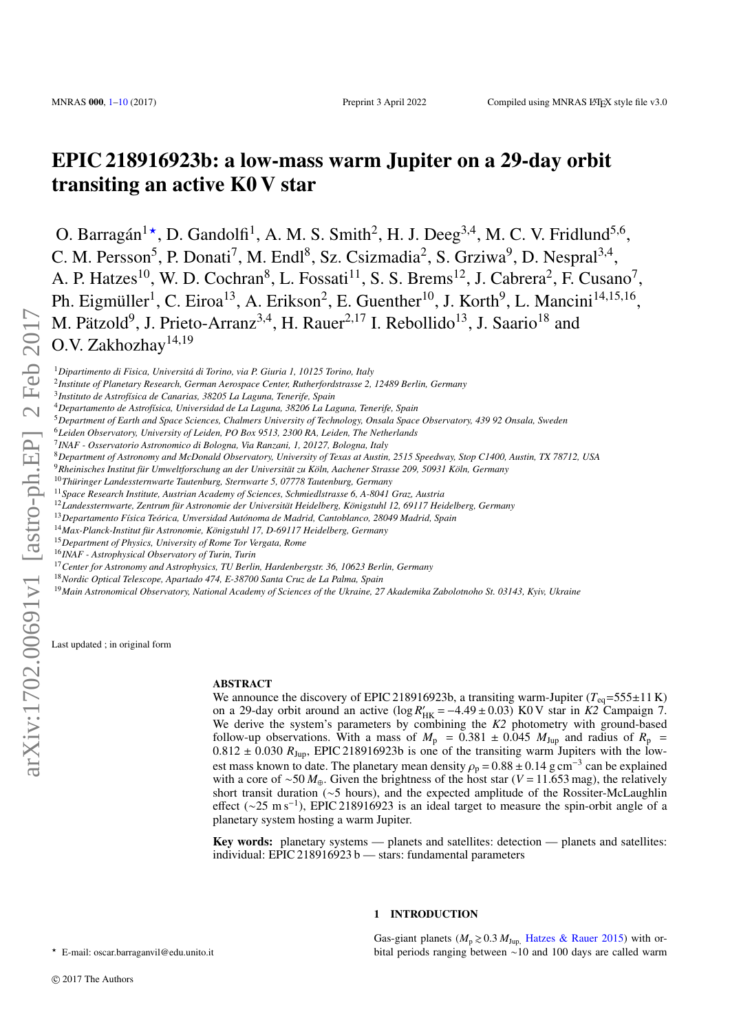# EPIC 218916923b: a low-mass warm Jupiter on a 29-day orbit transiting an active K0 V star

O. Barragán<sup>1\*</sup>, D. Gandolfi<sup>1</sup>, A. M. S. Smith<sup>2</sup>, H. J. Deeg<sup>3,4</sup>, M. C. V. Fridlund<sup>5,6</sup>, C. M. Persson<sup>5</sup>, P. Donati<sup>7</sup>, M. Endl<sup>8</sup>, Sz. Csizmadia<sup>2</sup>, S. Grziwa<sup>9</sup>, D. Nespral<sup>3,4</sup>, A. P. Hatzes<sup>10</sup>, W. D. Cochran<sup>8</sup>, L. Fossati<sup>11</sup>, S. S. Brems<sup>12</sup>, J. Cabrera<sup>2</sup>, F. Cusano<sup>7</sup>, Ph. Eigmüller<sup>1</sup>, C. Eiroa<sup>13</sup>, A. Erikson<sup>2</sup>, E. Guenther<sup>10</sup>, J. Korth<sup>9</sup>, L. Mancini<sup>14,15,16</sup>, M. Pätzold<sup>9</sup>, J. Prieto-Arranz<sup>3,4</sup>, H. Rauer<sup>2,17</sup> I. Rebollido<sup>13</sup>, J. Saario<sup>18</sup> and O.V. Zakhozhay<sup>14,19</sup>

<sup>1</sup>*Dipartimento di Fisica, Universitá di Torino, via P. Giuria 1, 10125 Torino, Italy*

- 2 *Institute of Planetary Research, German Aerospace Center, Rutherfordstrasse 2, 12489 Berlin, Germany*
- 3 *Instituto de Astrofísica de Canarias, 38205 La Laguna, Tenerife, Spain*
- <sup>4</sup>*Departamento de Astrofísica, Universidad de La Laguna, 38206 La Laguna, Tenerife, Spain*
- <sup>5</sup>*Department of Earth and Space Sciences, Chalmers University of Technology, Onsala Space Observatory, 439 92 Onsala, Sweden*
- <sup>6</sup>*Leiden Observatory, University of Leiden, PO Box 9513, 2300 RA, Leiden, The Netherlands*
- 7 *INAF Osservatorio Astronomico di Bologna, Via Ranzani, 1, 20127, Bologna, Italy*
- <sup>8</sup>*Department of Astronomy and McDonald Observatory, University of Texas at Austin, 2515 Speedway, Stop C1400, Austin, TX 78712, USA*
- <sup>9</sup>*Rheinisches Institut für Umweltforschung an der Universität zu Köln, Aachener Strasse 209, 50931 Köln, Germany*
- <sup>10</sup>*Thüringer Landessternwarte Tautenburg, Sternwarte 5, 07778 Tautenburg, Germany*
- <sup>11</sup>*Space Research Institute, Austrian Academy of Sciences, Schmiedlstrasse 6, A-8041 Graz, Austria*
- <sup>12</sup>*Landessternwarte, Zentrum für Astronomie der Universität Heidelberg, Königstuhl 12, 69117 Heidelberg, Germany*
- <sup>13</sup>*Departamento Física Teórica, Unversidad Autónoma de Madrid, Cantoblanco, 28049 Madrid, Spain*
- <sup>14</sup>*Max-Planck-Institut für Astronomie, Königstuhl 17, D-69117 Heidelberg, Germany*
- <sup>15</sup>*Department of Physics, University of Rome Tor Vergata, Rome*
- <sup>16</sup>*INAF Astrophysical Observatory of Turin, Turin*
- <sup>17</sup>*Center for Astronomy and Astrophysics, TU Berlin, Hardenbergstr. 36, 10623 Berlin, Germany*
- <sup>18</sup>*Nordic Optical Telescope, Apartado 474, E-38700 Santa Cruz de La Palma, Spain*
- <sup>19</sup>*Main Astronomical Observatory, National Academy of Sciences of the Ukraine, 27 Akademika Zabolotnoho St. 03143, Kyiv, Ukraine*

Last updated ; in original form

#### **ABSTRACT**

We announce the discovery of EPIC 218916923b, a transiting warm-Jupiter  $(T_{eq} = 555 \pm 11 \text{ K})$ on a 29-day orbit around an active  $(\log R'_{HK} = -4.49 \pm 0.03)$  K0 V star in *K2* Campaign 7. We derive the system's parameters by combining the *K2* photometry with ground-based follow-up observations. With a mass of  $M_p = 0.381 \pm 0.045$   $M_{\text{Jup}}$  and radius of  $R_p = 0.812 \pm 0.030$   $R_{\text{Jup}}$ . EPIC 218916923b is one of the transiting warm Jupiters with the low- $0.812 \pm 0.030 R_{\text{Jup}}$ , EPIC 218916923b is one of the transiting warm Jupiters with the low-<br>est mass known to date. The planetary mean density  $\rho = 0.88 \pm 0.14$  g cm<sup>-3</sup> can be explained est mass known to date. The planetary mean density  $\rho_p = 0.88 \pm 0.14$  g cm<sup>-3</sup> can be explained<br>with a core of ~50  $M_{\odot}$ . Given the brightness of the host star (V = 11.653 mag), the relatively with a core of ∼50 *M*⊕. Given the brightness of the host star (*V* = 11.653 mag), the relatively short transit duration (∼5 hours), and the expected amplitude of the Rossiter-McLaughlin effect (∼25 m s<sup>−</sup><sup>1</sup> ), EPIC 218916923 is an ideal target to measure the spin-orbit angle of a planetary system hosting a warm Jupiter.

Key words: planetary systems — planets and satellites: detection — planets and satellites: individual: EPIC 218916923 b — stars: fundamental parameters

# 1 INTRODUCTION

Gas-giant planets ( $M_p \ge 0.3$   $M_{\text{Jup}}$ , [Hatzes & Rauer](#page-7-0) [2015\)](#page-7-0) with orbital periods ranging between ∼10 and 100 days are called warm

<span id="page-0-0"></span>? E-mail: oscar.barraganvil@edu.unito.it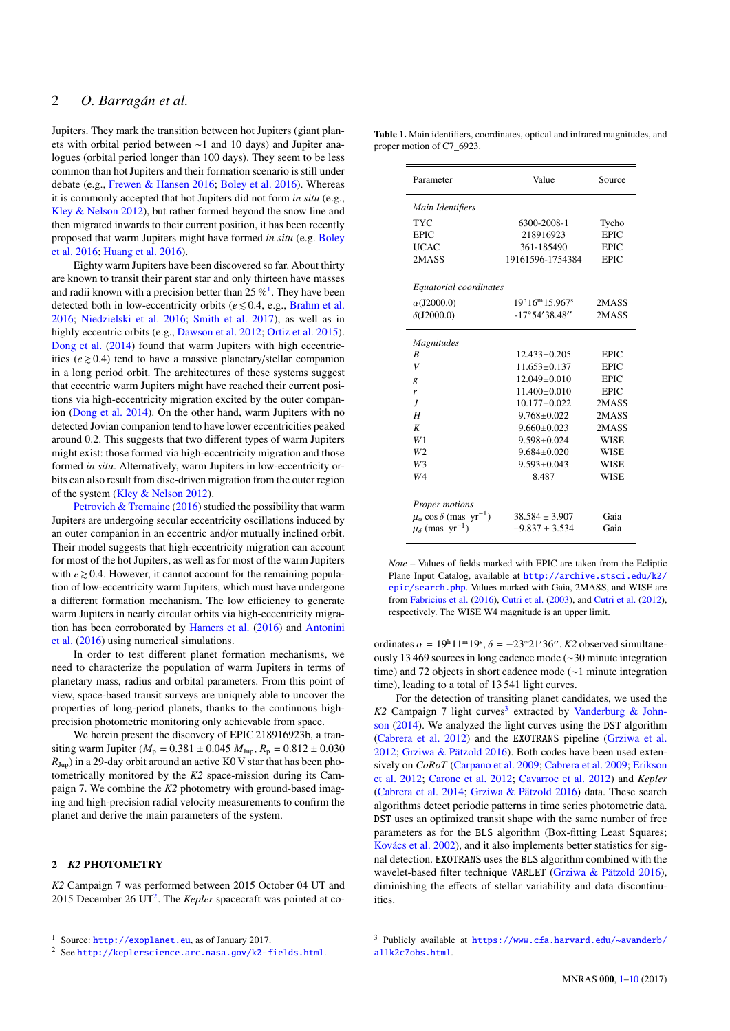Jupiters. They mark the transition between hot Jupiters (giant planets with orbital period between ∼1 and 10 days) and Jupiter analogues (orbital period longer than 100 days). They seem to be less common than hot Jupiters and their formation scenario is still under debate (e.g., [Frewen & Hansen](#page-7-1) [2016;](#page-7-1) [Boley et al.](#page-7-2) [2016\)](#page-7-2). Whereas it is commonly accepted that hot Jupiters did not form *in situ* (e.g., [Kley & Nelson](#page-7-3) [2012\)](#page-7-3), but rather formed beyond the snow line and then migrated inwards to their current position, it has been recently proposed that warm Jupiters might have formed *in situ* (e.g. [Boley](#page-7-2) [et al.](#page-7-2) [2016;](#page-7-2) [Huang et al.](#page-7-4) [2016\)](#page-7-4).

Eighty warm Jupiters have been discovered so far. About thirty are known to transit their parent star and only thirteen have masses and radii known with a precision better than  $25\%$ <sup>[1](#page-1-0)</sup>. They have been detected both in low-eccentricity orbits ( $e \le 0.4$ , e.g., [Brahm et al.](#page-7-5) [2016;](#page-7-5) [Niedzielski et al.](#page-8-1) [2016;](#page-8-1) [Smith et al.](#page-8-2) [2017\)](#page-8-2), as well as in highly eccentric orbits (e.g., [Dawson et al.](#page-7-6) [2012;](#page-7-6) [Ortiz et al.](#page-8-3) [2015\)](#page-8-3). [Dong et al.](#page-7-7) [\(2014\)](#page-7-7) found that warm Jupiters with high eccentricities ( $e \ge 0.4$ ) tend to have a massive planetary/stellar companion in a long period orbit. The architectures of these systems suggest that eccentric warm Jupiters might have reached their current positions via high-eccentricity migration excited by the outer companion [\(Dong et al.](#page-7-7) [2014\)](#page-7-7). On the other hand, warm Jupiters with no detected Jovian companion tend to have lower eccentricities peaked around 0.2. This suggests that two different types of warm Jupiters might exist: those formed via high-eccentricity migration and those formed *in situ*. Alternatively, warm Jupiters in low-eccentricity orbits can also result from disc-driven migration from the outer region of the system [\(Kley & Nelson](#page-7-3) [2012\)](#page-7-3).

[Petrovich & Tremaine](#page-8-4) [\(2016\)](#page-8-4) studied the possibility that warm Jupiters are undergoing secular eccentricity oscillations induced by an outer companion in an eccentric and/or mutually inclined orbit. Their model suggests that high-eccentricity migration can account for most of the hot Jupiters, as well as for most of the warm Jupiters with  $e \ge 0.4$ . However, it cannot account for the remaining population of low-eccentricity warm Jupiters, which must have undergone a different formation mechanism. The low efficiency to generate warm Jupiters in nearly circular orbits via high-eccentricity migration has been corroborated by [Hamers et al.](#page-7-8) [\(2016\)](#page-7-8) and [Antonini](#page-7-9) [et al.](#page-7-9) [\(2016\)](#page-7-9) using numerical simulations.

In order to test different planet formation mechanisms, we need to characterize the population of warm Jupiters in terms of planetary mass, radius and orbital parameters. From this point of view, space-based transit surveys are uniquely able to uncover the properties of long-period planets, thanks to the continuous highprecision photometric monitoring only achievable from space.

We herein present the discovery of EPIC 218916923b, a transiting warm Jupiter ( $M_p = 0.381 \pm 0.045$   $M_{Jup}$ ,  $R_p = 0.812 \pm 0.030$  $R_{\text{Jup}}$ ) in a 29-day orbit around an active K0 V star that has been photometrically monitored by the *K2* space-mission during its Campaign 7. We combine the *K2* photometry with ground-based imaging and high-precision radial velocity measurements to confirm the planet and derive the main parameters of the system.

# 2 *K2* PHOTOMETRY

*K2* Campaign 7 was performed between 2015 October 04 UT and [2](#page-1-1)015 December 26 UT<sup>2</sup>. The *Kepler* spacecraft was pointed at co-

<span id="page-1-3"></span>

| <b>Table 1.</b> Main identifiers, coordinates, optical and infrared magnitudes, and |  |
|-------------------------------------------------------------------------------------|--|
| proper motion of C7_6923.                                                           |  |

| Parameter                                           | Value                                | Source      |  |
|-----------------------------------------------------|--------------------------------------|-------------|--|
| Main Identifiers                                    |                                      |             |  |
| TYC                                                 | 6300-2008-1                          | Tycho       |  |
| <b>EPIC</b>                                         | 218916923                            | <b>EPIC</b> |  |
| <b>UCAC</b>                                         | 361-185490                           | <b>EPIC</b> |  |
| 2MASS                                               | 19161596-1754384                     | <b>EPIC</b> |  |
| Equatorial coordinates                              |                                      |             |  |
| $\alpha$ (J2000.0)                                  | $19^{\rm h}16^{\rm m}15.967^{\rm s}$ | 2MASS       |  |
| $\delta$ (J2000.0)                                  | $-17^{\circ}54'38.48''$              | 2MASS       |  |
| Magnitudes                                          |                                      |             |  |
| R                                                   | $12.433 \pm 0.205$                   | <b>EPIC</b> |  |
| V                                                   | $11.653 + 0.137$                     | <b>EPIC</b> |  |
| g                                                   | $12.049 + 0.010$                     | <b>EPIC</b> |  |
| r                                                   | $11.400 + 0.010$                     | <b>EPIC</b> |  |
| J                                                   | $10.177 + 0.022$                     | 2MASS       |  |
| H                                                   | $9.768 + 0.022$                      | 2MASS       |  |
| K                                                   | $9.660 + 0.023$                      | 2MASS       |  |
| W1                                                  | $9.598 + 0.024$                      | <b>WISE</b> |  |
| W <sub>2</sub>                                      | $9.684 + 0.020$                      | <b>WISE</b> |  |
| W3                                                  | $9.593 \pm 0.043$                    | <b>WISE</b> |  |
| W4                                                  | 8.487                                | <b>WISE</b> |  |
| Proper motions                                      |                                      |             |  |
| $\mu_{\alpha}$ cos $\delta$ (mas yr <sup>-1</sup> ) | $38.584 \pm 3.907$                   | Gaia        |  |
| $\mu_{\delta}$ (mas $\rm{vr}^{-1}$ )                | $-9.837 + 3.534$                     | Gaia        |  |

*Note* – Values of fields marked with EPIC are taken from the Ecliptic Plane Input Catalog, available at [http://archive.stsci.edu/k2/](http://archive. stsci.edu/k2/epic/search.php) [epic/search.php](http://archive. stsci.edu/k2/epic/search.php). Values marked with Gaia, 2MASS, and WISE are from [Fabricius et al.](#page-7-10) [\(2016\)](#page-7-10), [Cutri et al.](#page-7-11) [\(2003\)](#page-7-11), and [Cutri et al.](#page-7-12) [\(2012\)](#page-7-12), respectively. The WISE W4 magnitude is an upper limit.

ordinates  $\alpha = 19^{\text{h}}11^{\text{m}}19^{\text{s}}$ ,  $\delta = -23^{\circ}21'36''$ . *K2* observed simultane-<br>ovely 13.469 sources in long cadence mode ( $\approx 30$  minute integration ously 13 469 sources in long cadence mode (∼30 minute integration time) and 72 objects in short cadence mode (∼1 minute integration time), leading to a total of 13 541 light curves.

For the detection of transiting planet candidates, we used the K2 Campaign 7 light curves<sup>[3](#page-1-2)</sup> extracted by [Vanderburg & John](#page-9-0)[son](#page-9-0) [\(2014\)](#page-9-0). We analyzed the light curves using the DST algorithm [\(Cabrera et al.](#page-7-13) [2012\)](#page-7-13) and the EXOTRANS pipeline [\(Grziwa et al.](#page-7-14) [2012;](#page-7-14) [Grziwa & Pätzold](#page-7-15) [2016\)](#page-7-15). Both codes have been used extensively on *CoRoT* [\(Carpano et al.](#page-7-16) [2009;](#page-7-16) [Cabrera et al.](#page-7-17) [2009;](#page-7-17) [Erikson](#page-7-18) [et al.](#page-7-18) [2012;](#page-7-18) [Carone et al.](#page-7-19) [2012;](#page-7-19) [Cavarroc et al.](#page-7-20) [2012\)](#page-7-20) and *Kepler* [\(Cabrera et al.](#page-7-21) [2014;](#page-7-21) [Grziwa & Pätzold](#page-7-15) [2016\)](#page-7-15) data. These search algorithms detect periodic patterns in time series photometric data. DST uses an optimized transit shape with the same number of free parameters as for the BLS algorithm (Box-fitting Least Squares; [Kovács et al.](#page-7-22) [2002\)](#page-7-22), and it also implements better statistics for signal detection. EXOTRANS uses the BLS algorithm combined with the wavelet-based filter technique VARLET [\(Grziwa & Pätzold](#page-7-15) [2016\)](#page-7-15), diminishing the effects of stellar variability and data discontinuities.

<span id="page-1-0"></span><sup>1</sup> Source: <http://exoplanet.eu>, as of January 2017.

<span id="page-1-1"></span><sup>2</sup> See <http://keplerscience.arc.nasa.gov/k2-fields.html>.

<span id="page-1-2"></span><sup>3</sup> Publicly available at [https://www.cfa.harvard.edu/~avanderb/](https://www.cfa.harvard.edu/~avanderb/allk2c7obs.html) [allk2c7obs.html](https://www.cfa.harvard.edu/~avanderb/allk2c7obs.html).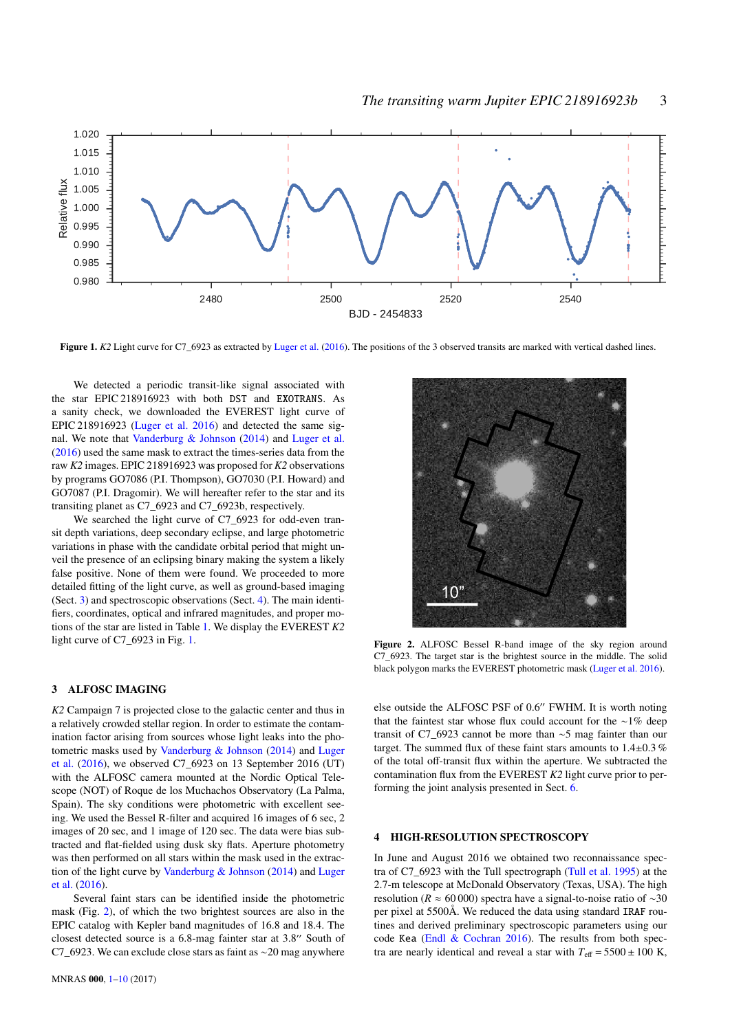

Figure 1. K2 Light curve for C7\_6923 as extracted by [Luger et al.](#page-8-5) [\(2016\)](#page-8-5). The positions of the 3 observed transits are marked with vertical dashed lines.

We detected a periodic transit-like signal associated with the star EPIC 218916923 with both DST and EXOTRANS. As a sanity check, we downloaded the EVEREST light curve of EPIC 218916923 [\(Luger et al.](#page-8-5) [2016\)](#page-8-5) and detected the same signal. We note that [Vanderburg & Johnson](#page-9-0) [\(2014\)](#page-9-0) and [Luger et al.](#page-8-5) [\(2016\)](#page-8-5) used the same mask to extract the times-series data from the raw *K2* images. EPIC 218916923 was proposed for *K2* observations by programs GO7086 (P.I. Thompson), GO7030 (P.I. Howard) and GO7087 (P.I. Dragomir). We will hereafter refer to the star and its transiting planet as C7\_6923 and C7\_6923b, respectively.

We searched the light curve of C7\_6923 for odd-even transit depth variations, deep secondary eclipse, and large photometric variations in phase with the candidate orbital period that might unveil the presence of an eclipsing binary making the system a likely false positive. None of them were found. We proceeded to more detailed fitting of the light curve, as well as ground-based imaging (Sect. [3\)](#page-2-0) and spectroscopic observations (Sect. [4\)](#page-2-1). The main identifiers, coordinates, optical and infrared magnitudes, and proper motions of the star are listed in Table [1.](#page-1-3) We display the EVEREST *K2* light curve of C7\_6923 in Fig. [1.](#page-2-2)

#### <span id="page-2-0"></span>3 ALFOSC IMAGING

*K2* Campaign 7 is projected close to the galactic center and thus in a relatively crowded stellar region. In order to estimate the contamination factor arising from sources whose light leaks into the photometric masks used by [Vanderburg & Johnson](#page-9-0) [\(2014\)](#page-9-0) and [Luger](#page-8-5) [et al.](#page-8-5) [\(2016\)](#page-8-5), we observed C7\_6923 on 13 September 2016 (UT) with the ALFOSC camera mounted at the Nordic Optical Telescope (NOT) of Roque de los Muchachos Observatory (La Palma, Spain). The sky conditions were photometric with excellent seeing. We used the Bessel R-filter and acquired 16 images of 6 sec, 2 images of 20 sec, and 1 image of 120 sec. The data were bias subtracted and flat-fielded using dusk sky flats. Aperture photometry was then performed on all stars within the mask used in the extraction of the light curve by [Vanderburg & Johnson](#page-9-0) [\(2014\)](#page-9-0) and [Luger](#page-8-5) [et al.](#page-8-5) [\(2016\)](#page-8-5).

Several faint stars can be identified inside the photometric mask (Fig. [2\)](#page-2-3), of which the two brightest sources are also in the EPIC catalog with Kepler band magnitudes of 16.8 and 18.4. The closest detected source is a  $6.8$ -mag fainter star at  $3.8$ " South of C7\_6923. We can exclude close stars as faint as ∼20 mag anywhere

<span id="page-2-2"></span>

<span id="page-2-3"></span>Figure 2. ALFOSC Bessel R-band image of the sky region around C7\_6923. The target star is the brightest source in the middle. The solid black polygon marks the EVEREST photometric mask [\(Luger et al.](#page-8-5) [2016\)](#page-8-5).

else outside the ALFOSC PSF of 0.6" FWHM. It is worth noting that the faintest star whose flux could account for the ∼1% deep transit of C7\_6923 cannot be more than ∼5 mag fainter than our target. The summed flux of these faint stars amounts to  $1.4\pm0.3\%$ of the total off-transit flux within the aperture. We subtracted the contamination flux from the EVEREST *K2* light curve prior to performing the joint analysis presented in Sect. [6.](#page-4-0)

#### <span id="page-2-1"></span>4 HIGH-RESOLUTION SPECTROSCOPY

In June and August 2016 we obtained two reconnaissance spectra of C7\_6923 with the Tull spectrograph [\(Tull et al.](#page-9-1) [1995\)](#page-9-1) at the 2.7-m telescope at McDonald Observatory (Texas, USA). The high resolution ( $R \approx 60000$ ) spectra have a signal-to-noise ratio of ~30 per pixel at 5500Å. We reduced the data using standard IRAF routines and derived preliminary spectroscopic parameters using our code Kea [\(Endl & Cochran](#page-7-23) [2016\)](#page-7-23). The results from both spectra are nearly identical and reveal a star with  $T_{\text{eff}} = 5500 \pm 100 \text{ K}$ ,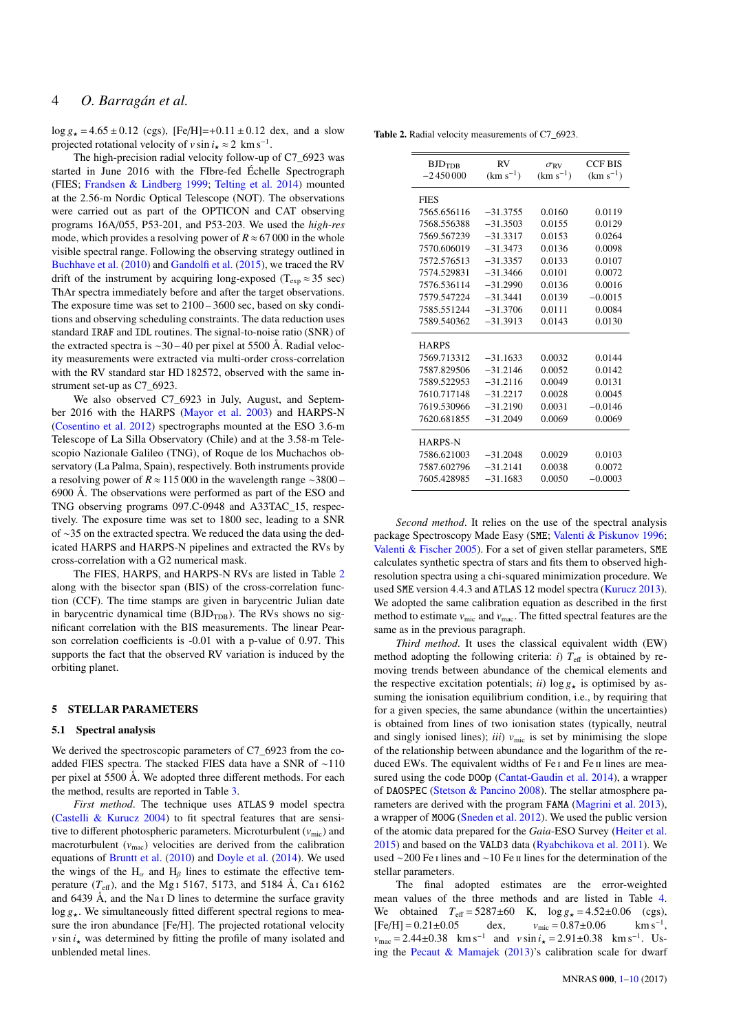$\log g_{\star} = 4.65 \pm 0.12$  (cgs), [Fe/H]=+0.11  $\pm$  0.12 dex, and a slow projected rotational velocity of *v* sin  $i_x \approx 2 \text{ km s}^{-1}$ .<br>The high appelience of islaming following

The high-precision radial velocity follow-up of C7\_6923 was started in June 2016 with the FIbre-fed Échelle Spectrograph (FIES; [Frandsen & Lindberg](#page-7-24) [1999;](#page-7-24) [Telting et al.](#page-9-2) [2014\)](#page-9-2) mounted at the 2.56-m Nordic Optical Telescope (NOT). The observations were carried out as part of the OPTICON and CAT observing programs 16A/055, P53-201, and P53-203. We used the *high-res* mode, which provides a resolving power of  $R \approx 67000$  in the whole visible spectral range. Following the observing strategy outlined in [Buchhave et al.](#page-7-25) [\(2010\)](#page-7-25) and [Gandolfi et al.](#page-7-26) [\(2015\)](#page-7-26), we traced the RV drift of the instrument by acquiring long-exposed ( $T_{exp} \approx 35$  sec) ThAr spectra immediately before and after the target observations. The exposure time was set to 2100 – 3600 sec, based on sky conditions and observing scheduling constraints. The data reduction uses standard IRAF and IDL routines. The signal-to-noise ratio (SNR) of the extracted spectra is ∼30 – 40 per pixel at 5500 Å. Radial velocity measurements were extracted via multi-order cross-correlation with the RV standard star HD 182572, observed with the same instrument set-up as C7 6923.

We also observed C7\_6923 in July, August, and September 2016 with the HARPS [\(Mayor et al.](#page-8-6) [2003\)](#page-8-6) and HARPS-N [\(Cosentino et al.](#page-7-27) [2012\)](#page-7-27) spectrographs mounted at the ESO 3.6-m Telescope of La Silla Observatory (Chile) and at the 3.58-m Telescopio Nazionale Galileo (TNG), of Roque de los Muchachos observatory (La Palma, Spain), respectively. Both instruments provide a resolving power of *R* ≈ 115 000 in the wavelength range ∼3800 – 6900 Å. The observations were performed as part of the ESO and TNG observing programs 097.C-0948 and A33TAC\_15, respectively. The exposure time was set to 1800 sec, leading to a SNR of ∼35 on the extracted spectra. We reduced the data using the dedicated HARPS and HARPS-N pipelines and extracted the RVs by cross-correlation with a G2 numerical mask.

The FIES, HARPS, and HARPS-N RVs are listed in Table [2](#page-3-0) along with the bisector span (BIS) of the cross-correlation function (CCF). The time stamps are given in barycentric Julian date in barycentric dynamical time  $(BJD_{TDB})$ . The RVs shows no significant correlation with the BIS measurements. The linear Pearson correlation coefficients is -0.01 with a p-value of 0.97. This supports the fact that the observed RV variation is induced by the orbiting planet.

# <span id="page-3-1"></span>5 STELLAR PARAMETERS

# 5.1 Spectral analysis

We derived the spectroscopic parameters of C7\_6923 from the coadded FIES spectra. The stacked FIES data have a SNR of ∼110 per pixel at 5500 Å. We adopted three different methods. For each the method, results are reported in Table [3.](#page-4-1)

*First method*. The technique uses ATLAS 9 model spectra [\(Castelli & Kurucz](#page-7-28) [2004\)](#page-7-28) to fit spectral features that are sensitive to different photospheric parameters. Microturbulent  $(v_{\text{mic}})$  and macroturbulent  $(v_{\text{mac}})$  velocities are derived from the calibration equations of [Bruntt et al.](#page-7-29) [\(2010\)](#page-7-29) and [Doyle et al.](#page-7-30) [\(2014\)](#page-7-30). We used the wings of the  $H_\alpha$  and  $H_\beta$  lines to estimate the effective temperature  $(T_{\text{eff}})$ , and the Mg<sub>1</sub> 5167, 5173, and 5184 Å, Ca<sub>1</sub> 6162 and 6439 Å, and the Na i D lines to determine the surface gravity  $\log g_{\star}$ . We simultaneously fitted different spectral regions to measure the iron abundance [Fe/H]. The projected rotational velocity  $v \sin i_{\star}$  was determined by fitting the profile of many isolated and unblended metal lines.

<span id="page-3-0"></span>Table 2. Radial velocity measurements of C7\_6923.

| <b>BJDTDB</b>  | RV            | $\sigma_{\rm RV}$ | <b>CCF BIS</b> |
|----------------|---------------|-------------------|----------------|
| $-2450000$     | $(km s^{-1})$ | $(km s^{-1})$     | $(km s^{-1})$  |
| <b>FIES</b>    |               |                   |                |
| 7565.656116    | $-31.3755$    | 0.0160            | 0.0119         |
| 7568.556388    | $-31.3503$    | 0.0155            | 0.0129         |
| 7569.567239    | $-31.3317$    | 0.0153            | 0.0264         |
| 7570.606019    | $-31.3473$    | 0.0136            | 0.0098         |
| 7572.576513    | $-31.3357$    | 0.0133            | 0.0107         |
| 7574.529831    | $-31.3466$    | 0.0101            | 0.0072         |
| 7576.536114    | $-31.2990$    | 0.0136            | 0.0016         |
| 7579.547224    | $-31.3441$    | 0.0139            | $-0.0015$      |
| 7585.551244    | $-31.3706$    | 0.0111            | 0.0084         |
| 7589.540362    | $-31.3913$    | 0.0143            | 0.0130         |
| <b>HARPS</b>   |               |                   |                |
| 7569.713312    | $-31.1633$    | 0.0032            | 0.0144         |
| 7587.829506    | $-31.2146$    | 0.0052            | 0.0142         |
| 7589.522953    | $-31.2116$    | 0.0049            | 0.0131         |
| 7610.717148    | $-31.2217$    | 0.0028            | 0.0045         |
| 7619.530966    | $-31.2190$    | 0.0031            | 0.0146         |
| 7620.681855    | $-31.2049$    | 0.0069            | 0.0069         |
| <b>HARPS-N</b> |               |                   |                |
| 7586.621003    | $-31.2048$    | 0.0029            | 0.0103         |
| 7587.602796    | $-31.2141$    | 0.0038            | 0.0072         |
| 7605.428985    | $-31.1683$    | 0.0050            | $-0.0003$      |

*Second method*. It relies on the use of the spectral analysis package Spectroscopy Made Easy (SME; [Valenti & Piskunov](#page-9-3) [1996;](#page-9-3) [Valenti & Fischer](#page-9-4) [2005\)](#page-9-4). For a set of given stellar parameters, SME calculates synthetic spectra of stars and fits them to observed highresolution spectra using a chi-squared minimization procedure. We used SME version 4.4.3 and ATLAS 12 model spectra [\(Kurucz](#page-8-7) [2013\)](#page-8-7). We adopted the same calibration equation as described in the first method to estimate  $v_{\text{mic}}$  and  $v_{\text{mac}}$ . The fitted spectral features are the same as in the previous paragraph.

*Third method*. It uses the classical equivalent width (EW) method adopting the following criteria:  $i$ )  $T_{\text{eff}}$  is obtained by removing trends between abundance of the chemical elements and the respective excitation potentials; *ii*)  $\log g_{\star}$  is optimised by assuming the ionisation equilibrium condition, i.e., by requiring that for a given species, the same abundance (within the uncertainties) is obtained from lines of two ionisation states (typically, neutral and singly ionised lines);  $iii)$   $v_{\text{mic}}$  is set by minimising the slope of the relationship between abundance and the logarithm of the reduced EWs. The equivalent widths of Fe I and Fe II lines are measured using the code DOOp [\(Cantat-Gaudin et al.](#page-7-31) [2014\)](#page-7-31), a wrapper of DAOSPEC [\(Stetson & Pancino](#page-9-5) [2008\)](#page-9-5). The stellar atmosphere parameters are derived with the program FAMA [\(Magrini et al.](#page-8-8) [2013\)](#page-8-8), a wrapper of MOOG [\(Sneden et al.](#page-8-9) [2012\)](#page-8-9). We used the public version of the atomic data prepared for the *Gaia*-ESO Survey [\(Heiter et al.](#page-7-32) [2015\)](#page-7-32) and based on the VALD3 data [\(Ryabchikova et al.](#page-8-10) [2011\)](#page-8-10). We used ∼200 Fe i lines and ∼10 Fe ii lines for the determination of the stellar parameters.

The final adopted estimates are the error-weighted mean values of the three methods and are listed in Table [4.](#page-8-0) We obtained  $T_{\text{eff}} = 5287 \pm 60$  K,  $\log g_{\star} = 4.52 \pm 0.06$  (cgs),<br>[Fe/H] = 0.21±0.05 dex,  $v_{\text{mic}} = 0.87 \pm 0.06$  km s<sup>-1</sup>,  $[Fe/H] = 0.21 \pm 0.05$  $km s^{-1}$ .  $v_{\text{mac}} = 2.44 \pm 0.38$  km s<sup>-1</sup> and  $v \sin i_x = 2.91 \pm 0.38$  km s<sup>-1</sup>. Us-<br>in the Present <sup>o</sup>n Manual (2013)'s solitantian solid for durant ing the [Pecaut & Mamajek](#page-8-11) [\(2013\)](#page-8-11)'s calibration scale for dwarf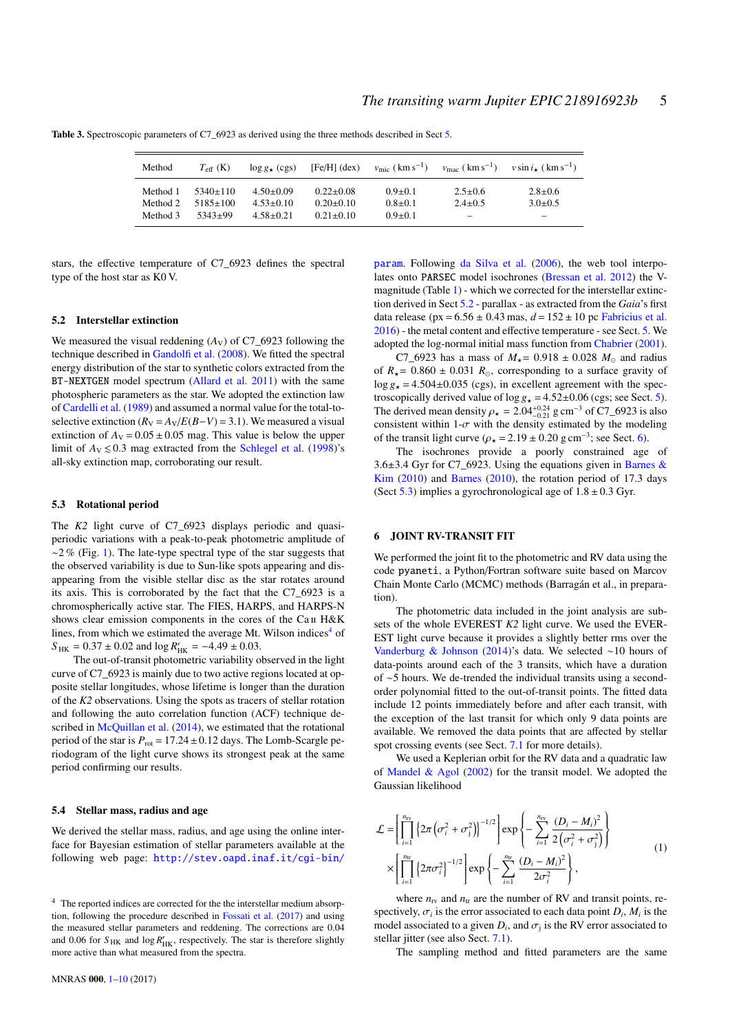| Method   | $T_{\rm eff}$ (K) | $\log g_{\star}$ (cgs) | $[Fe/H]$ (dex)  | $v_{\text{mic}}$ ( km s <sup>-1</sup> ) | $v_{\rm mac}$ ( km s <sup>-1</sup> ) | $v \sin i$ (km s <sup>-1</sup> ) |
|----------|-------------------|------------------------|-----------------|-----------------------------------------|--------------------------------------|----------------------------------|
| Method 1 | $5340+110$        | $4.50+0.09$            | $0.22+0.08$     | $0.9 + 0.1$                             | $2.5 \pm 0.6$                        | $2.8 + 0.6$                      |
| Method 2 | $5185 \pm 100$    | $4.53+0.10$            | $0.20 \pm 0.10$ | $0.8 + 0.1$                             | $2.4 + 0.5$                          | $3.0+0.5$                        |
| Method 3 | 5343+99           | $4.58 + 0.21$          | $0.21 + 0.10$   | $0.9 + 0.1$                             | $\hspace{0.05cm}$                    | $\overline{\phantom{m}}$         |

<span id="page-4-1"></span>Table 3. Spectroscopic parameters of C7 6923 as derived using the three methods described in Sect [5.](#page-3-1)

stars, the effective temperature of C7\_6923 defines the spectral type of the host star as K0 V.

# <span id="page-4-3"></span>5.2 Interstellar extinction

We measured the visual reddening  $(A_V)$  of C7\_6923 following the technique described in [Gandolfi et al.](#page-7-33) [\(2008\)](#page-7-33). We fitted the spectral energy distribution of the star to synthetic colors extracted from the BT-NEXTGEN model spectrum [\(Allard et al.](#page-7-34) [2011\)](#page-7-34) with the same photospheric parameters as the star. We adopted the extinction law of [Cardelli et al.](#page-7-35) [\(1989\)](#page-7-35) and assumed a normal value for the total-toselective extinction  $(R_V = A_V / E(B - V) = 3.1)$ . We measured a visual extinction of  $A_V = 0.05 \pm 0.05$  mag. This value is below the upper limit of  $A_V \le 0.3$  mag extracted from the [Schlegel et al.](#page-8-12) [\(1998\)](#page-8-12)'s all-sky extinction map, corroborating our result.

# <span id="page-4-4"></span>5.3 Rotational period

The *K2* light curve of C7\_6923 displays periodic and quasiperiodic variations with a peak-to-peak photometric amplitude of  $\sim$ 2 % (Fig. [1\)](#page-2-2). The late-type spectral type of the star suggests that the observed variability is due to Sun-like spots appearing and disappearing from the visible stellar disc as the star rotates around its axis. This is corroborated by the fact that the C7\_6923 is a chromospherically active star. The FIES, HARPS, and HARPS-N shows clear emission components in the cores of the Ca II H&K lines, from which we estimated the average Mt. Wilson indices<sup>[4](#page-4-2)</sup> of  $S_{HK} = 0.37 \pm 0.02$  and  $\log R'_{HK} = -4.49 \pm 0.03$ .<br>The out-of-transit photometric variability of

The out-of-transit photometric variability observed in the light curve of C7\_6923 is mainly due to two active regions located at opposite stellar longitudes, whose lifetime is longer than the duration of the *K2* observations. Using the spots as tracers of stellar rotation and following the auto correlation function (ACF) technique de-scribed in [McQuillan et al.](#page-8-13) [\(2014\)](#page-8-13), we estimated that the rotational period of the star is  $P_{\text{rot}} = 17.24 \pm 0.12$  days. The Lomb-Scargle periodogram of the light curve shows its strongest peak at the same period confirming our results.

#### 5.4 Stellar mass, radius and age

We derived the stellar mass, radius, and age using the online interface for Bayesian estimation of stellar parameters available at the following web page: [http://stev.oapd.inaf.it/cgi-bin/](http://stev.oapd.inaf.it/cgi-bin/param)

[param](http://stev.oapd.inaf.it/cgi-bin/param). Following [da Silva et al.](#page-9-6) [\(2006\)](#page-9-6), the web tool interpolates onto PARSEC model isochrones [\(Bressan et al.](#page-7-37) [2012\)](#page-7-37) the Vmagnitude (Table [1\)](#page-1-3) - which we corrected for the interstellar extinction derived in Sect [5.2](#page-4-3) - parallax - as extracted from the *Gaia*'s first data release (px =  $6.56 \pm 0.43$  mas,  $d = 152 \pm 10$  pc [Fabricius et al.](#page-7-10) [2016\)](#page-7-10) - the metal content and effective temperature - see Sect. [5.](#page-3-1) We adopted the log-normal initial mass function from [Chabrier](#page-7-38) [\(2001\)](#page-7-38).

C7\_6923 has a mass of  $M_* = 0.918 \pm 0.028$   $M_\odot$  and radius of  $R_{\star}$  = 0.860  $\pm$  0.031  $R_{\odot}$ , corresponding to a surface gravity of  $\log g_{\star} = 4.504 \pm 0.035$  (cgs), in excellent agreement with the spectroscopically derived value of  $\log g_{\star} = 4.52 \pm 0.06$  (cgs; see Sect. [5\)](#page-3-1). The derived mean density  $\rho_{\star} = 2.04^{+0.24}_{-0.21}$  g cm<sup>-3</sup> of C7\_6923 is also<br>consistent within 1- $\sigma$  with the density estimated by the modeling consistent within 1- $\sigma$  with the density estimated by the modeling of the transit light curve  $(\rho_{\star} = 2.19 \pm 0.20 \text{ g cm}^{-3})$ ; see Sect. [6\)](#page-4-0).<br>The isochrones provide a poorly constrained age

The isochrones provide a poorly constrained age of 3.6 $\pm$ 3.4 Gyr for C7\_6923. Using the equations given in [Barnes &](#page-7-39) [Kim](#page-7-39) [\(2010\)](#page-7-39) and [Barnes](#page-7-40) [\(2010\)](#page-7-40), the rotation period of 17.3 days (Sect  $5.3$ ) implies a gyrochronological age of  $1.8 \pm 0.3$  Gyr.

# <span id="page-4-0"></span>6 JOINT RV-TRANSIT FIT

We performed the joint fit to the photometric and RV data using the code pyaneti, a Python/Fortran software suite based on Marcov Chain Monte Carlo (MCMC) methods (Barragán et al., in preparation).

The photometric data included in the joint analysis are subsets of the whole EVEREST *K2* light curve. We used the EVER-EST light curve because it provides a slightly better rms over the [Vanderburg & Johnson](#page-9-0) [\(2014\)](#page-9-0)'s data. We selected ∼10 hours of data-points around each of the 3 transits, which have a duration of ∼5 hours. We de-trended the individual transits using a secondorder polynomial fitted to the out-of-transit points. The fitted data include 12 points immediately before and after each transit, with the exception of the last transit for which only 9 data points are available. We removed the data points that are affected by stellar spot crossing events (see Sect. [7.1](#page-5-0) for more details).

We used a Keplerian orbit for the RV data and a quadratic law of [Mandel & Agol](#page-8-14) [\(2002\)](#page-8-14) for the transit model. We adopted the Gaussian likelihood

<span id="page-4-5"></span>
$$
\mathcal{L} = \left[ \prod_{i=1}^{n_{\text{rv}}} \left\{ 2\pi \left( \sigma_i^2 + \sigma_j^2 \right) \right\}^{-1/2} \right] \exp \left\{ - \sum_{i=1}^{n_{\text{rv}}} \frac{(D_i - M_i)^2}{2 \left( \sigma_i^2 + \sigma_j^2 \right)} \right\} \times \left[ \prod_{i=1}^{n_{\text{tr}}} \left\{ 2\pi \sigma_i^2 \right\}^{-1/2} \right] \exp \left\{ - \sum_{i=1}^{n_{\text{tr}}} \frac{(D_i - M_i)^2}{2 \sigma_i^2} \right\},
$$
\n(1)

where  $n_{\text{rv}}$  and  $n_{\text{tr}}$  are the number of RV and transit points, respectively,  $\sigma_i$  is the error associated to each data point  $D_i$ ,  $M_i$  is the model associated to a given  $D_i$ , and  $\sigma_i$  is the RV error associated to model associated to a given  $D_i$ , and  $\sigma_j$  is the RV error associated to stellar ifter (see also Sect. 7.1) stellar jitter (see also Sect. [7.1\)](#page-5-0).

The sampling method and fitted parameters are the same

<span id="page-4-2"></span><sup>4</sup> [The reported indices are corrected for the the interstellar medium absorp](http://stev.oapd.inaf.it/cgi-bin/param)[tion, following the procedure described in](http://stev.oapd.inaf.it/cgi-bin/param) [Fossati et al.](#page-7-36) [\(2017\)](#page-7-36) and using [the measured stellar parameters and reddening. The corrections are 0.04](http://stev.oapd.inaf.it/cgi-bin/param) and 0.06 for  $S_{HK}$  and  $\log R'_{HK}$ [, respectively. The star is therefore slightly](http://stev.oapd.inaf.it/cgi-bin/param) [more active than what measured from the spectra.](http://stev.oapd.inaf.it/cgi-bin/param)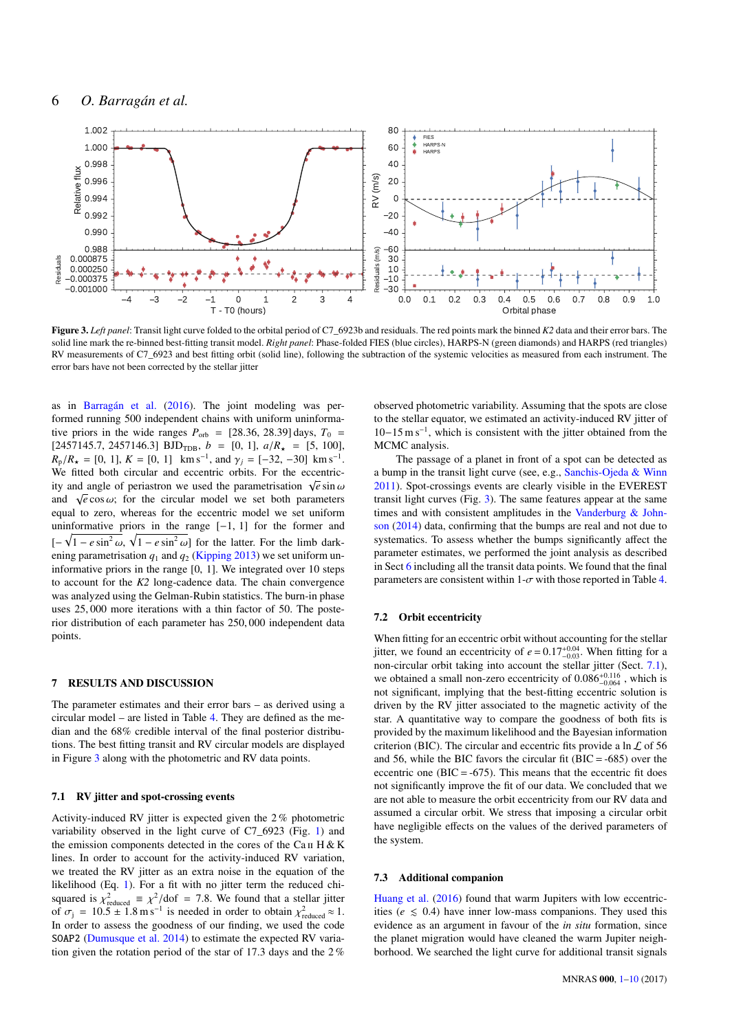

Figure 3. *Left panel*: Transit light curve folded to the orbital period of C7 6923b and residuals. The red points mark the binned *K2* data and their error bars. The solid line mark the re-binned best-fitting transit model. *Right panel*: Phase-folded FIES (blue circles), HARPS-N (green diamonds) and HARPS (red triangles) RV measurements of C7\_6923 and best fitting orbit (solid line), following the subtraction of the systemic velocities as measured from each instrument. The error bars have not been corrected by the stellar jitter

as in [Barragán et al.](#page-7-41) [\(2016\)](#page-7-41). The joint modeling was performed running 500 independent chains with uniform uninformative priors in the wide ranges  $P_{\text{orb}} = [28.36, 28.39]$  days,  $T_0 =$  $[2457145.7, 2457146.3]$  BJD<sub>TDB</sub>,  $b = [0, 1]$ ,  $a/R_{\star} = [5, 100]$ ,  $R_p/R_r = [0, 1], K = [0, 1]$  km s<sup>-1</sup>, and  $\gamma_j = [-32, -30]$  km s<sup>-1</sup>.<br>We fitted both circular and eccentric orbits. For the eccentric-We fitted both circular and eccentric orbits. For the eccentricity and angle of periastron we used the parametrisation  $\sqrt{e} \sin \omega$ <br>and  $\sqrt{e} \cos \omega$ ; for the circular model we set both parameters and  $\sqrt{e} \cos \omega$ ; for the circular model we set both parameters equal to zero, whereas for the eccentric model we set uniform equal to zero, whereas for the eccentric model we set uniform uninformative priors in the range  $[-1, 1]$  for the former and  $[-\sqrt{1 - e \sin^2 \omega}, \sqrt{1 - e \sin^2 \omega}]$  for the latter. For the limb dark-<br>ening parametrisation *a*, and *a*, (Kinning 2013) we set uniform unening parametrisation  $q_1$  and  $q_2$  [\(Kipping](#page-7-42) [2013\)](#page-7-42) we set uniform uninformative priors in the range [0, 1]. We integrated over 10 steps to account for the *K2* long-cadence data. The chain convergence was analyzed using the Gelman-Rubin statistics. The burn-in phase uses 25, 000 more iterations with a thin factor of 50. The posterior distribution of each parameter has 250, 000 independent data points.

#### 7 RESULTS AND DISCUSSION

The parameter estimates and their error bars – as derived using a circular model – are listed in Table [4.](#page-8-0) They are defined as the median and the 68% credible interval of the final posterior distributions. The best fitting transit and RV circular models are displayed in Figure [3](#page-5-1) along with the photometric and RV data points.

# <span id="page-5-0"></span>7.1 RV jitter and spot-crossing events

Activity-induced RV jitter is expected given the 2 % photometric variability observed in the light curve of C7\_6923 (Fig. [1\)](#page-2-2) and the emission components detected in the cores of the Ca II H & K lines. In order to account for the activity-induced RV variation, we treated the RV jitter as an extra noise in the equation of the likelihood (Eq. [1\)](#page-4-5). For a fit with no jitter term the reduced chisquared is  $\chi^2_{\text{reduced}} \equiv \chi^2/\text{dof} = 7.8$ . We found that a stellar jitter of  $\sigma_r = 10.5 \pm 1.8$  m s<sup>-1</sup> is needed in order to obtain  $\chi^2 = 10.5 \pm 1.8$  m s<sup>-1</sup> of  $\sigma_j = 10.5 \pm 1.8 \text{ m s}^{-1}$  is needed in order to obtain  $\chi^2_{\text{reduced}} \approx 1$ .<br>In order to assess the goodness of our finding, we used the code In order to assess the goodness of our finding, we used the code SOAP2 [\(Dumusque et al.](#page-7-43) [2014\)](#page-7-43) to estimate the expected RV variation given the rotation period of the star of 17.3 days and the 2 %

<span id="page-5-1"></span>observed photometric variability. Assuming that the spots are close to the stellar equator, we estimated an activity-induced RV jitter of 10−15 m s<sup>−</sup><sup>1</sup> , which is consistent with the jitter obtained from the MCMC analysis.

The passage of a planet in front of a spot can be detected as a bump in the transit light curve (see, e.g., [Sanchis-Ojeda & Winn](#page-8-15) [2011\)](#page-8-15). Spot-crossings events are clearly visible in the EVEREST transit light curves (Fig. [3\)](#page-5-1). The same features appear at the same times and with consistent amplitudes in the [Vanderburg & John](#page-9-0)[son](#page-9-0) [\(2014\)](#page-9-0) data, confirming that the bumps are real and not due to systematics. To assess whether the bumps significantly affect the parameter estimates, we performed the joint analysis as described in Sect [6](#page-4-0) including all the transit data points. We found that the final parameters are consistent within  $1-\sigma$  with those reported in Table [4.](#page-8-0)

#### 7.2 Orbit eccentricity

When fitting for an eccentric orbit without accounting for the stellar jitter, we found an eccentricity of  $e = 0.17^{+0.04}_{-0.03}$ . When fitting for a<br>non-circular orbit taking into account the stellar jitter (Sect. 7.1) non-circular orbit taking into account the stellar jitter (Sect. [7.1\)](#page-5-0), we obtained a small non-zero eccentricity of  $0.086_{-0.064}^{+0.116}$ , which is<br>not significant implying that the hest fitting eccentric solution is not significant, implying that the best-fitting eccentric solution is driven by the RV jitter associated to the magnetic activity of the star. A quantitative way to compare the goodness of both fits is provided by the maximum likelihood and the Bayesian information criterion (BIC). The circular and eccentric fits provide a  $\ln \mathcal{L}$  of 56 and 56, while the BIC favors the circular fit (BIC =  $-685$ ) over the eccentric one ( $BIC = -675$ ). This means that the eccentric fit does not significantly improve the fit of our data. We concluded that we are not able to measure the orbit eccentricity from our RV data and assumed a circular orbit. We stress that imposing a circular orbit have negligible effects on the values of the derived parameters of the system.

#### 7.3 Additional companion

[Huang et al.](#page-7-4) [\(2016\)](#page-7-4) found that warm Jupiters with low eccentricities ( $e \leq 0.4$ ) have inner low-mass companions. They used this evidence as an argument in favour of the *in situ* formation, since the planet migration would have cleaned the warm Jupiter neighborhood. We searched the light curve for additional transit signals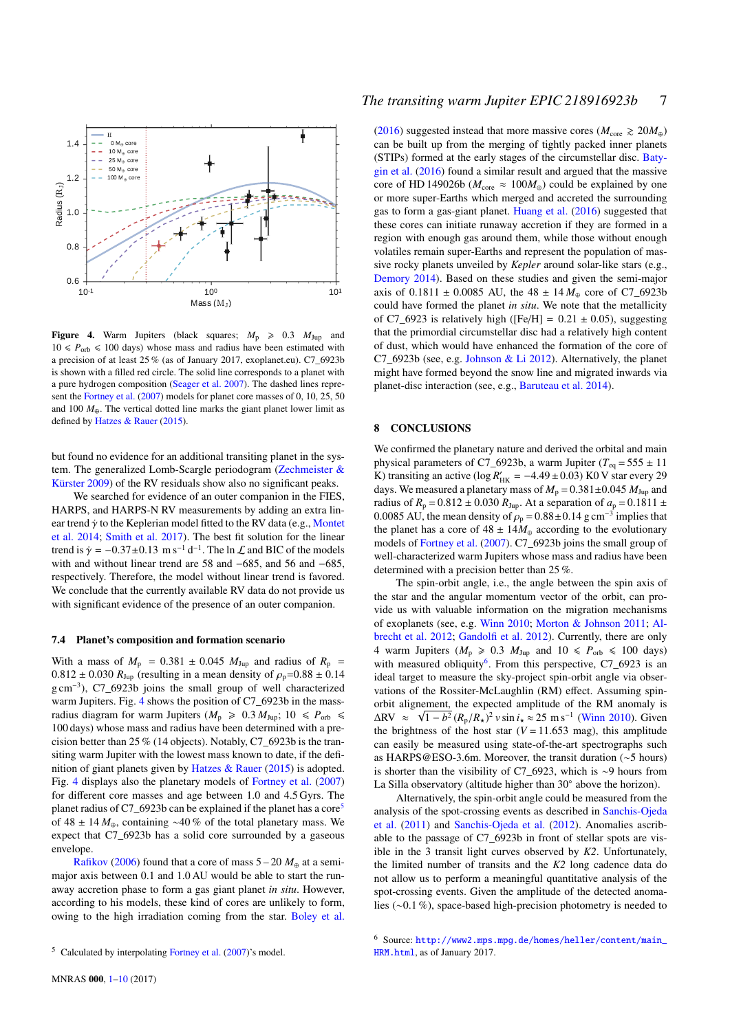

<span id="page-6-0"></span>Figure 4. Warm Jupiters (black squares;  $M_p \geq 0.3$   $M_{Jup}$  and  $10 \leq P_{\text{orb}} \leq 100$  days) whose mass and radius have been estimated with a precision of at least 25 % (as of January 2017, exoplanet.eu). C7\_6923b is shown with a filled red circle. The solid line corresponds to a planet with a pure hydrogen composition [\(Seager et al.](#page-8-16) [2007\)](#page-8-16). The dashed lines represent the [Fortney et al.](#page-7-44) [\(2007\)](#page-7-44) models for planet core masses of 0, 10, 25, 50 and 100  $M_{\oplus}$ . The vertical dotted line marks the giant planet lower limit as defined by [Hatzes & Rauer](#page-7-0) [\(2015\)](#page-7-0).

but found no evidence for an additional transiting planet in the system. The generalized Lomb-Scargle periodogram [\(Zechmeister &](#page-9-7) [Kürster](#page-9-7) [2009\)](#page-9-7) of the RV residuals show also no significant peaks.

We searched for evidence of an outer companion in the FIES, HARPS, and HARPS-N RV measurements by adding an extra linear trend  $\dot{\gamma}$  to the Keplerian model fitted to the RV data (e.g., [Montet](#page-8-17) [et al.](#page-8-17) [2014;](#page-8-17) [Smith et al.](#page-8-2) [2017\)](#page-8-2). The best fit solution for the linear trend is  $\dot{\gamma} = -0.37 \pm 0.13$  m s<sup>-1</sup> d<sup>-1</sup>. The ln  $\mathcal{L}$  and BIC of the models<br>with and without linear trend are 58 and -685, and 56 and -685. with and without linear trend are 58 and −685, and 56 and −685, respectively. Therefore, the model without linear trend is favored. We conclude that the currently available RV data do not provide us with significant evidence of the presence of an outer companion.

#### 7.4 Planet's composition and formation scenario

With a mass of  $M_p$  = 0.381  $\pm$  0.045  $M_{Jup}$  and radius of  $R_p$  =  $0.812 \pm 0.030 R_{Jup}$  (resulting in a mean density of  $\rho_p = 0.88 \pm 0.14$ g cm<sup>−</sup><sup>3</sup> ), C7\_6923b joins the small group of well characterized warm Jupiters. Fig. [4](#page-6-0) shows the position of C7\_6923b in the massradius diagram for warm Jupiters ( $M_p \ge 0.3 M_{Jup}$ ; 10  $\le P_{orb} \le$ 100 days) whose mass and radius have been determined with a precision better than 25 % (14 objects). Notably, C7\_6923b is the transiting warm Jupiter with the lowest mass known to date, if the definition of giant planets given by [Hatzes & Rauer](#page-7-0) [\(2015\)](#page-7-0) is adopted. Fig. [4](#page-6-0) displays also the planetary models of [Fortney et al.](#page-7-44) [\(2007\)](#page-7-44) for different core masses and age between 1.0 and 4.5 Gyrs. The planet radius of C7\_6923b can be explained if the planet has a core<sup>[5](#page-6-1)</sup> of 48 ± 14 *M*⊕, containing ∼40 % of the total planetary mass. We expect that C7\_6923b has a solid core surrounded by a gaseous envelope.

[Rafikov](#page-8-18) [\(2006\)](#page-8-18) found that a core of mass  $5 - 20 M_{\oplus}$  at a semimajor axis between 0.1 and 1.0 AU would be able to start the runaway accretion phase to form a gas giant planet *in situ*. However, according to his models, these kind of cores are unlikely to form, owing to the high irradiation coming from the star. [Boley et al.](#page-7-2)

[\(2016\)](#page-7-2) suggested instead that more massive cores ( $M_{\text{core}} \ge 20 M_{\oplus}$ ) can be built up from the merging of tightly packed inner planets (STIPs) formed at the early stages of the circumstellar disc. [Baty](#page-7-45)[gin et al.](#page-7-45) [\(2016\)](#page-7-45) found a similar result and argued that the massive core of HD 149026b ( $M_{\text{core}} \approx 100 M_{\oplus}$ ) could be explained by one or more super-Earths which merged and accreted the surrounding gas to form a gas-giant planet. [Huang et al.](#page-7-4) [\(2016\)](#page-7-4) suggested that these cores can initiate runaway accretion if they are formed in a region with enough gas around them, while those without enough volatiles remain super-Earths and represent the population of massive rocky planets unveiled by *Kepler* around solar-like stars (e.g., [Demory](#page-7-46) [2014\)](#page-7-46). Based on these studies and given the semi-major axis of  $0.1811 \pm 0.0085$  AU, the  $48 \pm 14 M_{\odot}$  core of C7 6923b could have formed the planet *in situ*. We note that the metallicity of C7\_6923 is relatively high ( $[Fe/H] = 0.21 \pm 0.05$ ), suggesting that the primordial circumstellar disc had a relatively high content of dust, which would have enhanced the formation of the core of C7\_6923b (see, e.g. [Johnson & Li](#page-7-47) [2012\)](#page-7-47). Alternatively, the planet might have formed beyond the snow line and migrated inwards via planet-disc interaction (see, e.g., [Baruteau et al.](#page-7-48) [2014\)](#page-7-48).

#### 8 CONCLUSIONS

We confirmed the planetary nature and derived the orbital and main physical parameters of C7\_6923b, a warm Jupiter ( $T_{eq} = 555 \pm 11$ ) K) transiting an active (log  $R'_{HK} = -4.49 \pm 0.03$ ) K0 V star every 29<br>days. We measured a planetary mass of  $M = 0.381 \pm 0.045$   $M_{\odot}$  and days. We measured a planetary mass of  $M_p = 0.381 \pm 0.045 M_{Jup}$  and radius of  $R_p = 0.812 \pm 0.030 R_{Jup}$ . At a separation of  $a_p = 0.1811 \pm 0.030 R_{Jup}$ . 0.0085 AU, the mean density of  $\rho_p = 0.88 \pm 0.14$  g cm<sup>-3</sup> implies that<br>the planet has a core of  $48 \pm 14M$ , according to the evolutionary the planet has a core of  $48 \pm 14M_{\oplus}$  according to the evolutionary models of [Fortney et al.](#page-7-44) [\(2007\)](#page-7-44). C7\_6923b joins the small group of well-characterized warm Jupiters whose mass and radius have been determined with a precision better than 25 %.

The spin-orbit angle, i.e., the angle between the spin axis of the star and the angular momentum vector of the orbit, can provide us with valuable information on the migration mechanisms of exoplanets (see, e.g. [Winn](#page-9-8) [2010;](#page-9-8) [Morton & Johnson](#page-8-19) [2011;](#page-8-19) [Al](#page-7-49)[brecht et al.](#page-7-49) [2012;](#page-7-49) [Gandolfi et al.](#page-7-50) [2012\)](#page-7-50). Currently, there are only 4 warm Jupiters ( $M_p \ge 0.3$   $M_{Jup}$  and 10  $\le P_{orb} \le 100$  days) with measured obliquity<sup>[6](#page-6-2)</sup>. From this perspective,  $C7_{6923}$  is an ideal target to measure the sky-project spin-orbit angle via observations of the Rossiter-McLaughlin (RM) effect. Assuming spinorbit alignement, the expected amplitude of the RM anomaly is  $\Delta$ RV  $\approx \sqrt{1-b^2} (R_p/R_\star)^2 v \sin i_\star \approx 25 \text{ m s}^{-1}$  [\(Winn](#page-9-8) [2010\)](#page-9-8). Given<br>the brightness of the host star (*V* – 11.653 mag), this amplitude the brightness of the host star  $(V = 11.653$  mag), this amplitude can easily be measured using state-of-the-art spectrographs such as HARPS@ESO-3.6m. Moreover, the transit duration (∼5 hours) is shorter than the visibility of C7\_6923, which is ∼9 hours from La Silla observatory (altitude higher than 30◦ above the horizon).

Alternatively, the spin-orbit angle could be measured from the analysis of the spot-crossing events as described in [Sanchis-Ojeda](#page-8-20) [et al.](#page-8-20) [\(2011\)](#page-8-20) and [Sanchis-Ojeda et al.](#page-8-21) [\(2012\)](#page-8-21). Anomalies ascribable to the passage of C7\_6923b in front of stellar spots are visible in the 3 transit light curves observed by *K2*. Unfortunately, the limited number of transits and the *K2* long cadence data do not allow us to perform a meaningful quantitative analysis of the spot-crossing events. Given the amplitude of the detected anomalies (∼0.1 %), space-based high-precision photometry is needed to

<span id="page-6-1"></span> $5$  Calculated by interpolating [Fortney et al.](#page-7-44) [\(2007\)](#page-7-44)'s model.

<span id="page-6-2"></span><sup>6</sup> Source: [http://www2.mps.mpg.de/homes/heller/content/main\\_](http://www2.mps.mpg.de/homes/heller/content/main_HRM.html) [HRM.html](http://www2.mps.mpg.de/homes/heller/content/main_HRM.html), as of January 2017.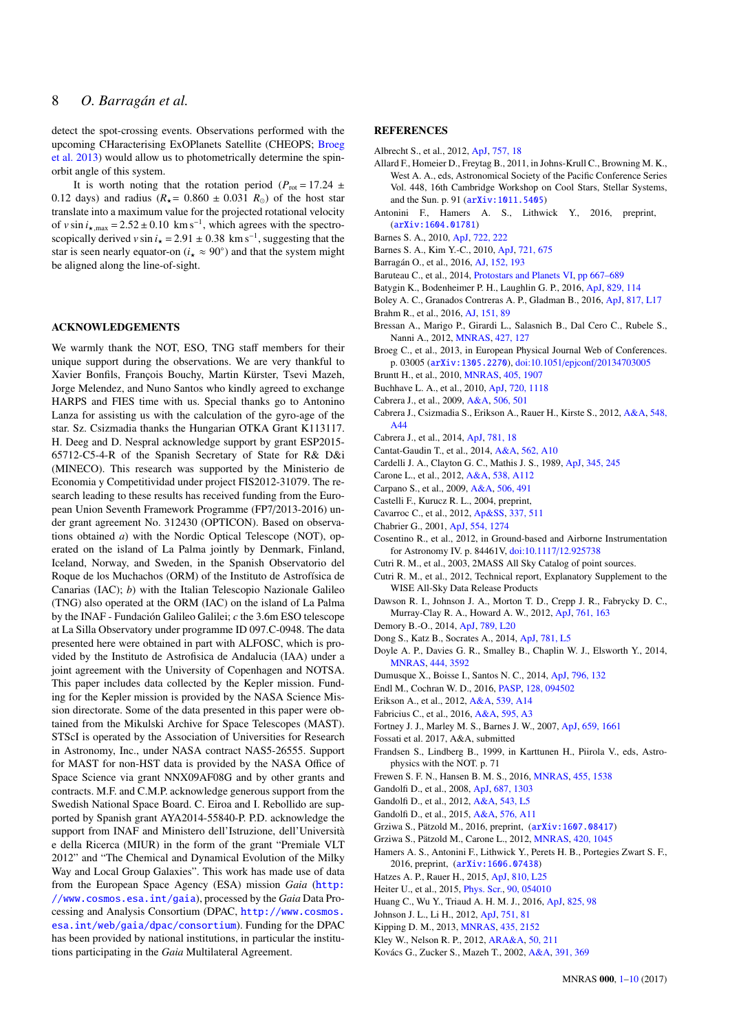detect the spot-crossing events. Observations performed with the upcoming CHaracterising ExOPlanets Satellite (CHEOPS; [Broeg](#page-7-51) [et al.](#page-7-51) [2013\)](#page-7-51) would allow us to photometrically determine the spinorbit angle of this system.

It is worth noting that the rotation period ( $P_{\text{rot}} = 17.24 \pm 10^{-10}$ 0.12 days) and radius ( $R_{\star}$  = 0.860  $\pm$  0.031  $R_{\odot}$ ) of the host star translate into a maximum value for the projected rotational velocity of  $v \sin i_{\star, \text{max}} = 2.52 \pm 0.10 \text{ km s}^{-1}$ , which agrees with the spectroscopically derived *v* sin  $i_x = 2.91 \pm 0.38$  km s<sup>-1</sup>, suggesting that the state is seen nearly equator on  $(i_{x} \approx 90^{\circ})$  and that the system might star is seen nearly equator-on  $(i_{\star} \approx 90^{\circ})$  and that the system might be aligned along the line-of-sight.

### ACKNOWLEDGEMENTS

We warmly thank the NOT, ESO, TNG staff members for their unique support during the observations. We are very thankful to Xavier Bonfils, François Bouchy, Martin Kürster, Tsevi Mazeh, Jorge Melendez, and Nuno Santos who kindly agreed to exchange HARPS and FIES time with us. Special thanks go to Antonino Lanza for assisting us with the calculation of the gyro-age of the star. Sz. Csizmadia thanks the Hungarian OTKA Grant K113117. H. Deeg and D. Nespral acknowledge support by grant ESP2015- 65712-C5-4-R of the Spanish Secretary of State for R& D&i (MINECO). This research was supported by the Ministerio de Economia y Competitividad under project FIS2012-31079. The research leading to these results has received funding from the European Union Seventh Framework Programme (FP7/2013-2016) under grant agreement No. 312430 (OPTICON). Based on observations obtained *a*) with the Nordic Optical Telescope (NOT), operated on the island of La Palma jointly by Denmark, Finland, Iceland, Norway, and Sweden, in the Spanish Observatorio del Roque de los Muchachos (ORM) of the Instituto de Astrofísica de Canarias (IAC); *b*) with the Italian Telescopio Nazionale Galileo (TNG) also operated at the ORM (IAC) on the island of La Palma by the INAF - Fundación Galileo Galilei; *c* the 3.6m ESO telescope at La Silla Observatory under programme ID 097.C-0948. The data presented here were obtained in part with ALFOSC, which is provided by the Instituto de Astrofisica de Andalucia (IAA) under a joint agreement with the University of Copenhagen and NOTSA. This paper includes data collected by the Kepler mission. Funding for the Kepler mission is provided by the NASA Science Mission directorate. Some of the data presented in this paper were obtained from the Mikulski Archive for Space Telescopes (MAST). STScI is operated by the Association of Universities for Research in Astronomy, Inc., under NASA contract NAS5-26555. Support for MAST for non-HST data is provided by the NASA Office of Space Science via grant NNX09AF08G and by other grants and contracts. M.F. and C.M.P. acknowledge generous support from the Swedish National Space Board. C. Eiroa and I. Rebollido are supported by Spanish grant AYA2014-55840-P. P.D. acknowledge the support from INAF and Ministero dell'Istruzione, dell'Università e della Ricerca (MIUR) in the form of the grant "Premiale VLT 2012" and "The Chemical and Dynamical Evolution of the Milky Way and Local Group Galaxies". This work has made use of data from the European Space Agency (ESA) mission *Gaia* ([http:](http://www.cosmos.esa.int/gaia) [//www.cosmos.esa.int/gaia](http://www.cosmos.esa.int/gaia)), processed by the *Gaia* Data Processing and Analysis Consortium (DPAC, [http://www.cosmos.](http://www.cosmos.esa.int/web/gaia/dpac/consortium) [esa.int/web/gaia/dpac/consortium](http://www.cosmos.esa.int/web/gaia/dpac/consortium)). Funding for the DPAC has been provided by national institutions, in particular the institutions participating in the *Gaia* Multilateral Agreement.

#### **REFERENCES**

<span id="page-7-49"></span>Albrecht S., et al., 2012, [ApJ,](http://dx.doi.org/10.1088/0004-637X/757/1/18) [757, 18](http://adsabs.harvard.edu/abs/2012ApJ...757...18A)

- <span id="page-7-34"></span>Allard F., Homeier D., Freytag B., 2011, in Johns-Krull C., Browning M. K., West A. A., eds, Astronomical Society of the Pacific Conference Series Vol. 448, 16th Cambridge Workshop on Cool Stars, Stellar Systems, and the Sun. p. 91 ([arXiv:1011.5405](http://arxiv.org/abs/1011.5405))
- <span id="page-7-9"></span>Antonini F., Hamers A. S., Lithwick Y., 2016, preprint, ([arXiv:1604.01781](http://arxiv.org/abs/1604.01781))
- <span id="page-7-40"></span>Barnes S. A., 2010, [ApJ,](http://dx.doi.org/10.1088/0004-637X/722/1/222) [722, 222](http://adsabs.harvard.edu/abs/2010ApJ...722..222B)
- <span id="page-7-39"></span>Barnes S. A., Kim Y.-C., 2010, [ApJ,](http://dx.doi.org/10.1088/0004-637X/721/1/675) [721, 675](http://adsabs.harvard.edu/abs/2010ApJ...721..675B)
- <span id="page-7-41"></span>Barragán O., et al., 2016, [AJ,](http://dx.doi.org/10.3847/0004-6256/152/6/193) [152, 193](http://adsabs.harvard.edu/abs/2016AJ....152..193B)
- <span id="page-7-48"></span>Baruteau C., et al., 2014, [Protostars and Planets VI,](http://dx.doi.org/10.2458/azu_uapress_9780816531240-ch029) [pp 667–689](http://adsabs.harvard.edu/abs/2014prpl.conf..667B)
- <span id="page-7-45"></span>Batygin K., Bodenheimer P. H., Laughlin G. P., 2016, [ApJ,](http://dx.doi.org/10.3847/0004-637X/829/2/114) [829, 114](http://adsabs.harvard.edu/abs/2016ApJ...829..114B)
- <span id="page-7-2"></span>Boley A. C., Granados Contreras A. P., Gladman B., 2016, [ApJ,](http://dx.doi.org/10.3847/2041-8205/817/2/L17) [817, L17](http://adsabs.harvard.edu/abs/2016ApJ...817L..17B)
- <span id="page-7-5"></span>Brahm R., et al., 2016, [AJ,](http://dx.doi.org/10.3847/0004-6256/151/4/89) [151, 89](http://adsabs.harvard.edu/abs/2016AJ....151...89B)
- <span id="page-7-37"></span>Bressan A., Marigo P., Girardi L., Salasnich B., Dal Cero C., Rubele S., Nanni A., 2012, [MNRAS,](http://dx.doi.org/10.1111/j.1365-2966.2012.21948.x) [427, 127](http://adsabs.harvard.edu/abs/2012MNRAS.427..127B)
- <span id="page-7-51"></span>Broeg C., et al., 2013, in European Physical Journal Web of Conferences. p. 03005 ([arXiv:1305.2270](http://arxiv.org/abs/1305.2270)), doi:10.1051/epjconf/[20134703005](http://dx.doi.org/10.1051/epjconf/20134703005)
- <span id="page-7-29"></span>Bruntt H., et al., 2010, [MNRAS,](http://dx.doi.org/10.1111/j.1365-2966.2010.16575.x) [405, 1907](http://adsabs.harvard.edu/abs/2010MNRAS.405.1907B)
- <span id="page-7-25"></span>Buchhave L. A., et al., 2010, [ApJ,](http://dx.doi.org/10.1088/0004-637X/720/2/1118) [720, 1118](http://adsabs.harvard.edu/abs/2010ApJ...720.1118B)
- <span id="page-7-17"></span>Cabrera J., et al., 2009, [A&A,](http://dx.doi.org/10.1051/0004-6361/200912684) [506, 501](http://adsabs.harvard.edu/abs/2009A%26A...506..501C)
- <span id="page-7-13"></span>Cabrera J., Csizmadia S., Erikson A., Rauer H., Kirste S., 2012, [A&A,](http://dx.doi.org/10.1051/0004-6361/201219337) [548,](http://adsabs.harvard.edu/abs/2012A%26A...548A..44C) [A44](http://adsabs.harvard.edu/abs/2012A%26A...548A..44C)
- <span id="page-7-21"></span>Cabrera J., et al., 2014, [ApJ,](http://dx.doi.org/10.1088/0004-637X/781/1/18) [781, 18](http://adsabs.harvard.edu/abs/2014ApJ...781...18C)
- <span id="page-7-31"></span>Cantat-Gaudin T., et al., 2014, [A&A,](http://dx.doi.org/10.1051/0004-6361/201322533) [562, A10](http://adsabs.harvard.edu/abs/2014A%26A...562A..10C)
- <span id="page-7-35"></span>Cardelli J. A., Clayton G. C., Mathis J. S., 1989, [ApJ,](http://dx.doi.org/10.1086/167900) [345, 245](http://adsabs.harvard.edu/abs/1989ApJ...345..245C)
- <span id="page-7-19"></span>Carone L., et al., 2012, [A&A,](http://dx.doi.org/10.1051/0004-6361/201116968) [538, A112](http://adsabs.harvard.edu/abs/2012A%26A...538A.112C)
- <span id="page-7-16"></span>Carpano S., et al., 2009, [A&A,](http://dx.doi.org/10.1051/0004-6361/200911882) [506, 491](http://adsabs.harvard.edu/abs/2009A%26A...506..491C)
- <span id="page-7-28"></span>Castelli F., Kurucz R. L., 2004, preprint,
- <span id="page-7-20"></span>Cavarroc C., et al., 2012, [Ap&SS,](http://dx.doi.org/10.1007/s10509-011-0897-1) [337, 511](http://adsabs.harvard.edu/abs/2012Ap%26SS.337..511C)
- <span id="page-7-38"></span>Chabrier G., 2001, [ApJ,](http://dx.doi.org/10.1086/321401) [554, 1274](http://adsabs.harvard.edu/abs/2001ApJ...554.1274C)
- <span id="page-7-27"></span>Cosentino R., et al., 2012, in Ground-based and Airborne Instrumentation for Astronomy IV. p. 84461V, [doi:10.1117](http://dx.doi.org/10.1117/12.925738)/12.925738
- <span id="page-7-11"></span>Cutri R. M., et al., 2003, 2MASS All Sky Catalog of point sources.
- <span id="page-7-12"></span>Cutri R. M., et al., 2012, Technical report, Explanatory Supplement to the WISE All-Sky Data Release Products
- <span id="page-7-6"></span>Dawson R. I., Johnson J. A., Morton T. D., Crepp J. R., Fabrycky D. C., Murray-Clay R. A., Howard A. W., 2012, [ApJ,](http://dx.doi.org/10.1088/0004-637X/761/2/163) [761, 163](http://adsabs.harvard.edu/abs/2012ApJ...761..163D)
- <span id="page-7-46"></span>Demory B.-O., 2014, [ApJ,](http://dx.doi.org/10.1088/2041-8205/789/1/L20) [789, L20](http://adsabs.harvard.edu/abs/2014ApJ...789L..20D)
- <span id="page-7-7"></span>Dong S., Katz B., Socrates A., 2014, [ApJ,](http://dx.doi.org/10.1088/2041-8205/781/1/L5) [781, L5](http://adsabs.harvard.edu/abs/2014ApJ...781L...5D)
- <span id="page-7-30"></span>Doyle A. P., Davies G. R., Smalley B., Chaplin W. J., Elsworth Y., 2014, [MNRAS,](http://dx.doi.org/10.1093/mnras/stu1692) [444, 3592](http://adsabs.harvard.edu/abs/2014MNRAS.444.3592D)
- <span id="page-7-43"></span>Dumusque X., Boisse I., Santos N. C., 2014, [ApJ,](http://dx.doi.org/10.1088/0004-637X/796/2/132) [796, 132](http://adsabs.harvard.edu/abs/2014ApJ...796..132D)
- <span id="page-7-23"></span>Endl M., Cochran W. D., 2016, [PASP,](http://dx.doi.org/10.1088/1538-3873/128/967/094502) [128, 094502](http://adsabs.harvard.edu/abs/2016PASP..128i4502E)
- <span id="page-7-18"></span>Erikson A., et al., 2012, [A&A,](http://dx.doi.org/10.1051/0004-6361/201116934) [539, A14](http://adsabs.harvard.edu/abs/2012A%26A...539A..14E)
- <span id="page-7-10"></span>Fabricius C., et al., 2016, [A&A,](http://dx.doi.org/10.1051/0004-6361/201628643) [595, A3](http://adsabs.harvard.edu/abs/2016A%26A...595A...3F)
- <span id="page-7-44"></span>Fortney J. J., Marley M. S., Barnes J. W., 2007, [ApJ,](http://dx.doi.org/10.1086/512120) [659, 1661](http://adsabs.harvard.edu/abs/2007ApJ...659.1661F)
- <span id="page-7-36"></span>Fossati et al. 2017, A&A, submitted
- <span id="page-7-24"></span>Frandsen S., Lindberg B., 1999, in Karttunen H., Piirola V., eds, Astrophysics with the NOT. p. 71
- <span id="page-7-1"></span>Frewen S. F. N., Hansen B. M. S., 2016, [MNRAS,](http://dx.doi.org/10.1093/mnras/stv2322) [455, 1538](http://adsabs.harvard.edu/abs/2016MNRAS.455.1538F)
- <span id="page-7-33"></span>Gandolfi D., et al., 2008, [ApJ,](http://dx.doi.org/10.1086/591729) [687, 1303](http://adsabs.harvard.edu/abs/2008ApJ...687.1303G)
- <span id="page-7-50"></span>Gandolfi D., et al., 2012, [A&A,](http://dx.doi.org/10.1051/0004-6361/201219533) [543, L5](http://adsabs.harvard.edu/abs/2012A%26A...543L...5G)
- <span id="page-7-26"></span>Gandolfi D., et al., 2015, [A&A,](http://dx.doi.org/10.1051/0004-6361/201425062) [576, A11](http://adsabs.harvard.edu/abs/2015A%26A...576A..11G)
- <span id="page-7-15"></span>Grziwa S., Pätzold M., 2016, preprint, ([arXiv:1607.08417](http://arxiv.org/abs/1607.08417))
- <span id="page-7-14"></span>Grziwa S., Pätzold M., Carone L., 2012, [MNRAS,](http://dx.doi.org/10.1111/j.1365-2966.2011.19970.x) [420, 1045](http://adsabs.harvard.edu/abs/2012MNRAS.420.1045G)
- <span id="page-7-8"></span>Hamers A. S., Antonini F., Lithwick Y., Perets H. B., Portegies Zwart S. F., 2016, preprint, ([arXiv:1606.07438](http://arxiv.org/abs/1606.07438))
- <span id="page-7-0"></span>Hatzes A. P., Rauer H., 2015, [ApJ,](http://dx.doi.org/10.1088/2041-8205/810/2/L25) [810, L25](http://adsabs.harvard.edu/abs/2015ApJ...810L..25H)
- <span id="page-7-32"></span>Heiter U., et al., 2015, [Phys. Scr.,](http://dx.doi.org/10.1088/0031-8949/90/5/054010) [90, 054010](http://adsabs.harvard.edu/abs/2015PhyS...90e4010H)
- <span id="page-7-4"></span>Huang C., Wu Y., Triaud A. H. M. J., 2016, [ApJ,](http://dx.doi.org/10.3847/0004-637X/825/2/98) [825, 98](http://adsabs.harvard.edu/abs/2016ApJ...825...98H)
- <span id="page-7-47"></span>Johnson J. L., Li H., 2012, [ApJ,](http://dx.doi.org/10.1088/0004-637X/751/2/81) [751, 81](http://adsabs.harvard.edu/abs/2012ApJ...751...81J)
- <span id="page-7-42"></span>Kipping D. M., 2013, [MNRAS,](http://dx.doi.org/10.1093/mnras/stt1435) [435, 2152](http://adsabs.harvard.edu/abs/2013MNRAS.435.2152K)
- <span id="page-7-3"></span>Kley W., Nelson R. P., 2012, [ARA&A,](http://dx.doi.org/10.1146/annurev-astro-081811-125523) [50, 211](http://adsabs.harvard.edu/abs/2012ARA%26A..50..211K)
- <span id="page-7-22"></span>Kovács G., Zucker S., Mazeh T., 2002, [A&A,](http://dx.doi.org/10.1051/0004-6361:20020802) [391, 369](http://adsabs.harvard.edu/abs/2002A%26A...391..369K)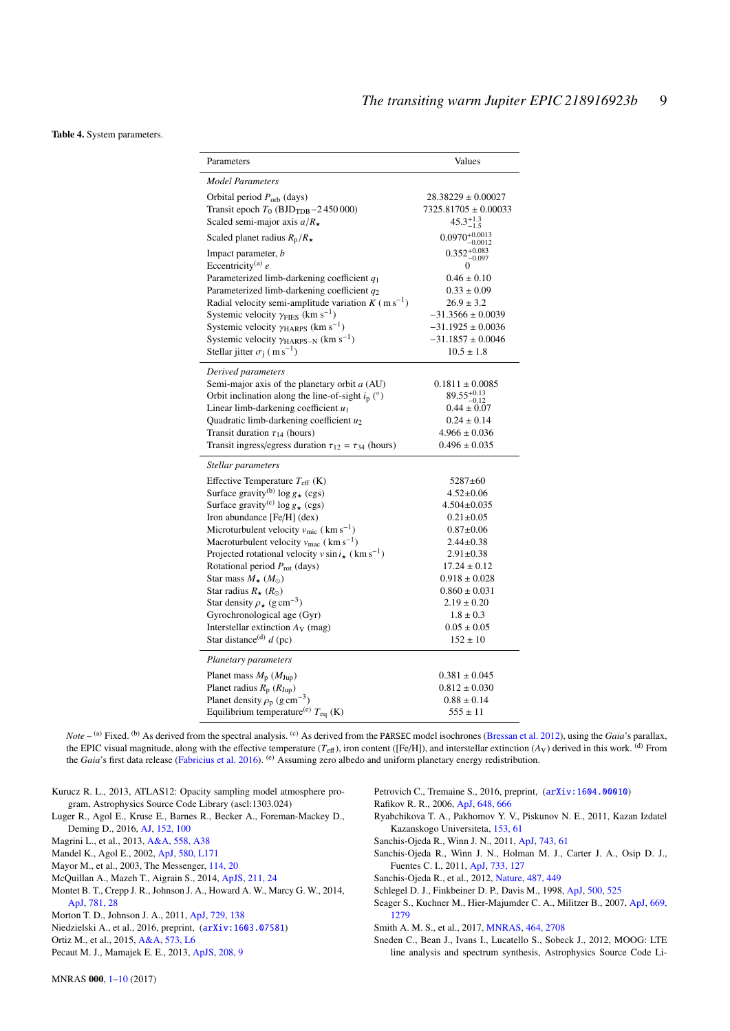<span id="page-8-0"></span>Table 4. System parameters.

| Parameters                                                             | Values                             |
|------------------------------------------------------------------------|------------------------------------|
| <b>Model Parameters</b>                                                |                                    |
| Orbital period $P_{\rm orb}$ (days)                                    | $28.38229 \pm 0.00027$             |
| Transit epoch $T_0$ (BJD <sub>TDB</sub> $-2$ 450000)                   | $7325.81705 \pm 0.00033$           |
| Scaled semi-major axis $a/R_{\star}$                                   | $45.3^{+1.3}_{-1.5}$               |
| Scaled planet radius $R_p/R_{\star}$                                   | $0.0970^{+0.0013}_{-0.0012}$       |
| Impact parameter, <i>b</i>                                             | $0.352_{-0.097}^{+0.083}$          |
| Eccentricity <sup>(a)</sup> $e$                                        |                                    |
| Parameterized limb-darkening coefficient $q_1$                         | $0.46 \pm 0.10$                    |
| Parameterized limb-darkening coefficient q2                            | $0.33 \pm 0.09$                    |
| Radial velocity semi-amplitude variation $K$ (m s <sup>-1</sup> )      | $26.9 \pm 3.2$                     |
| Systemic velocity $\gamma$ FIES (km s <sup>-1</sup> )                  | $-31.3566 \pm 0.0039$              |
| Systemic velocity $\gamma$ HARPS (km s <sup>-1</sup> )                 | $-31.1925 \pm 0.0036$              |
| Systemic velocity $\gamma$ <sub>HARPS-N</sub> (km s <sup>-1</sup> )    | $-31.1857 \pm 0.0046$              |
| Stellar jitter $\sigma_i$ (m s <sup>-1</sup> )                         | $10.5 \pm 1.8$                     |
| Derived parameters                                                     |                                    |
| Semi-major axis of the planetary orbit a (AU)                          | $0.1811 \pm 0.0085$                |
| Orbit inclination along the line-of-sight $i_p$ (°)                    | $89.55^{+0.13}_{-0.12}$            |
| Linear limb-darkening coefficient $u_1$                                | $0.44 \pm 0.07$<br>$0.24 \pm 0.14$ |
| Quadratic limb-darkening coefficient $u_2$                             | $4.966 \pm 0.036$                  |
| Transit duration $\tau_{14}$ (hours)                                   | $0.496 \pm 0.035$                  |
| Transit ingress/egress duration $\tau_{12} = \tau_{34}$ (hours)        |                                    |
| Stellar parameters                                                     |                                    |
| Effective Temperature $T_{\text{eff}}$ (K)                             | $5287 \pm 60$                      |
| Surface gravity <sup>(b)</sup> $\log g_{\star}$ (cgs)                  | $4.52 \pm 0.06$                    |
| Surface gravity <sup>(c)</sup> $\log g_{\star}$ (cgs)                  | $4.504 \pm 0.035$                  |
| Iron abundance [Fe/H] (dex)                                            | $0.21 \pm 0.05$                    |
| Microturbulent velocity $v_{\text{mic}}$ (km s <sup>-1</sup> )         | $0.87 + 0.06$                      |
| Macroturbulent velocity $v_{\text{mac}}$ (km s <sup>-1</sup> )         | $2.44 \pm 0.38$                    |
| Projected rotational velocity $v \sin i_{\star}$ (km s <sup>-1</sup> ) | $2.91 \pm 0.38$                    |
| Rotational period $P_{\text{rot}}$ (days)                              | $17.24 \pm 0.12$                   |
| Star mass $M_{\star}$ ( $M_{\odot}$ )                                  | $0.918 \pm 0.028$                  |
| Star radius $R_{\star}$ ( $R_{\odot}$ )                                | $0.860 \pm 0.031$                  |
| Star density $\rho_{\star}$ (g cm <sup>-3</sup> )                      | $2.19 \pm 0.20$                    |
| Gyrochronological age (Gyr)                                            | $1.8 \pm 0.3$                      |
| Interstellar extinction $A_V$ (mag)                                    | $0.05 \pm 0.05$                    |
| Star distance <sup>(d)</sup> $d$ (pc)                                  | $152 \pm 10$                       |
| Planetary parameters                                                   |                                    |
| Planet mass $M_p$ ( $M_{\text{Jup}}$ )                                 | $0.381 \pm 0.045$                  |
| Planet radius $R_p(R_{Jup})$                                           | $0.812 \pm 0.030$                  |
| Planet density $\rho_p$ (g cm <sup>-3</sup> )                          | $0.88 \pm 0.14$                    |
| Equilibrium temperature <sup>(e)</sup> $T_{eq}$ (K)                    | $555 \pm 11$                       |

*Note* – <sup>(a)</sup> Fixed. <sup>(b)</sup> As derived from the spectral analysis. <sup>(c)</sup> As derived from the PARSEC model isochrones [\(Bressan et al.](#page-7-37) [2012\)](#page-7-37), using the *Gaia*'s parallax, the EPIC visual magnitude, along with the effective temperature  $(T_{\text{eff}})$ , iron content ([Fe/H]), and interstellar extinction  $(A_V)$  derived in this work. <sup>(d)</sup> From the *Gaia*'s first data release [\(Fabricius et al.](#page-7-10) [2016\)](#page-7-10). (e) Assuming zero albedo and uniform planetary energy redistribution.

- <span id="page-8-7"></span>Kurucz R. L., 2013, ATLAS12: Opacity sampling model atmosphere program, Astrophysics Source Code Library (ascl:1303.024)
- <span id="page-8-5"></span>Luger R., Agol E., Kruse E., Barnes R., Becker A., Foreman-Mackey D., Deming D., 2016, [AJ,](http://dx.doi.org/10.3847/0004-6256/152/4/100) [152, 100](http://adsabs.harvard.edu/abs/2016AJ....152..100L)
- <span id="page-8-8"></span>Magrini L., et al., 2013, [A&A,](http://dx.doi.org/10.1051/0004-6361/201321844) [558, A38](http://adsabs.harvard.edu/abs/2013A%26A...558A..38M)
- <span id="page-8-14"></span>Mandel K., Agol E., 2002, [ApJ,](http://dx.doi.org/10.1086/345520) [580, L171](http://adsabs.harvard.edu/abs/2002ApJ...580L.171M)
- <span id="page-8-6"></span>Mayor M., et al., 2003, The Messenger, [114, 20](http://adsabs.harvard.edu/abs/2003Msngr.114...20M)
- <span id="page-8-13"></span>McQuillan A., Mazeh T., Aigrain S., 2014, [ApJS,](http://dx.doi.org/10.1088/0067-0049/211/2/24) [211, 24](http://adsabs.harvard.edu/abs/2014ApJS..211...24M)
- <span id="page-8-17"></span>Montet B. T., Crepp J. R., Johnson J. A., Howard A. W., Marcy G. W., 2014, [ApJ,](http://dx.doi.org/10.1088/0004-637X/781/1/28) [781, 28](http://adsabs.harvard.edu/abs/2014ApJ...781...28M)
- <span id="page-8-19"></span>Morton T. D., Johnson J. A., 2011, [ApJ,](http://dx.doi.org/10.1088/0004-637X/729/2/138) [729, 138](http://adsabs.harvard.edu/abs/2011ApJ...729..138M)
- <span id="page-8-1"></span>Niedzielski A., et al., 2016, preprint, ([arXiv:1603.07581](http://arxiv.org/abs/1603.07581))
- <span id="page-8-3"></span>Ortiz M., et al., 2015, [A&A,](http://dx.doi.org/10.1051/0004-6361/201425146) [573, L6](http://adsabs.harvard.edu/abs/2015A%26A...573L...6O)
- <span id="page-8-11"></span>Pecaut M. J., Mamajek E. E., 2013, [ApJS,](http://dx.doi.org/10.1088/0067-0049/208/1/9) [208, 9](http://adsabs.harvard.edu/abs/2013ApJS..208....9P)
- <span id="page-8-4"></span>Petrovich C., Tremaine S., 2016, preprint, ([arXiv:1604.00010](http://arxiv.org/abs/1604.00010))
- <span id="page-8-18"></span>Rafikov R. R., 2006, [ApJ,](http://dx.doi.org/10.1086/505695) [648, 666](http://adsabs.harvard.edu/abs/2006ApJ...648..666R)
- <span id="page-8-10"></span>Ryabchikova T. A., Pakhomov Y. V., Piskunov N. E., 2011, Kazan Izdatel Kazanskogo Universiteta, [153, 61](http://adsabs.harvard.edu/abs/2011KIzKU.153...61R)
- <span id="page-8-15"></span>Sanchis-Ojeda R., Winn J. N., 2011, [ApJ,](http://dx.doi.org/10.1088/0004-637X/743/1/61) [743, 61](http://adsabs.harvard.edu/abs/2011ApJ...743...61S)
- <span id="page-8-20"></span>Sanchis-Ojeda R., Winn J. N., Holman M. J., Carter J. A., Osip D. J., Fuentes C. I., 2011, [ApJ,](http://dx.doi.org/10.1088/0004-637X/733/2/127) [733, 127](http://adsabs.harvard.edu/abs/2011ApJ...733..127S)
- <span id="page-8-21"></span>Sanchis-Ojeda R., et al., 2012, [Nature,](http://dx.doi.org/10.1038/nature11301) [487, 449](http://adsabs.harvard.edu/abs/2012Natur.487..449S)
- <span id="page-8-12"></span>Schlegel D. J., Finkbeiner D. P., Davis M., 1998, [ApJ,](http://dx.doi.org/10.1086/305772) [500, 525](http://adsabs.harvard.edu/abs/1998ApJ...500..525S)
- <span id="page-8-16"></span>Seager S., Kuchner M., Hier-Majumder C. A., Militzer B., 2007, [ApJ,](http://dx.doi.org/10.1086/521346) [669,](http://adsabs.harvard.edu/abs/2007ApJ...669.1279S) [1279](http://adsabs.harvard.edu/abs/2007ApJ...669.1279S)
- <span id="page-8-2"></span>Smith A. M. S., et al., 2017, [MNRAS,](http://dx.doi.org/10.1093/mnras/stw2487) [464, 2708](http://adsabs.harvard.edu/abs/2017MNRAS.464.2708S)

<span id="page-8-9"></span>Sneden C., Bean J., Ivans I., Lucatello S., Sobeck J., 2012, MOOG: LTE line analysis and spectrum synthesis, Astrophysics Source Code Li-